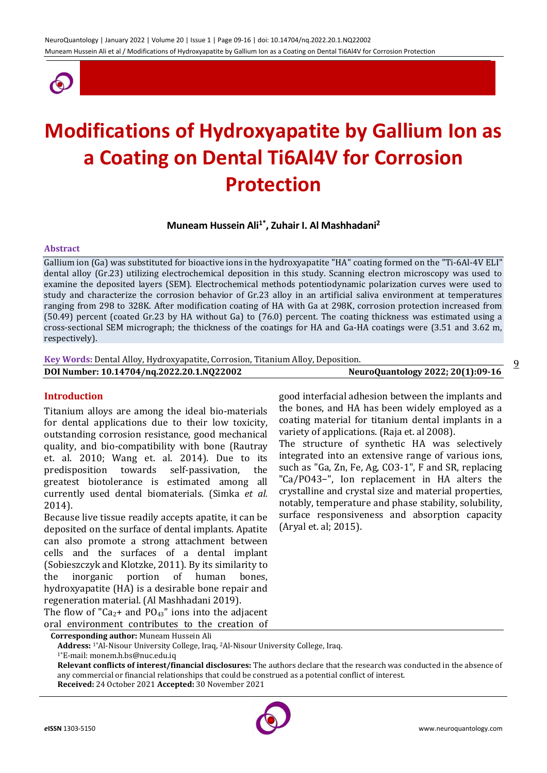

# **Modifications of Hydroxyapatite by Gallium Ion as a Coating on Dental Ti6Al4V for Corrosion Protection**

## **Muneam Hussein Ali1\* , Zuhair I. Al Mashhadani<sup>2</sup>**

#### **Abstract**

Gallium ion (Ga) was substituted for bioactive ions in the hydroxyapatite "HA" coating formed on the "Ti-6Al-4V ELI" dental alloy (Gr.23) utilizing electrochemical deposition in this study. Scanning electron microscopy was used to examine the deposited layers (SEM). Electrochemical methods potentiodynamic polarization curves were used to study and characterize the corrosion behavior of Gr.23 alloy in an artificial saliva environment at temperatures ranging from 298 to 328K. After modification coating of HA with Ga at 298K, corrosion protection increased from (50.49) percent (coated Gr.23 by HA without Ga) to (76.0) percent. The coating thickness was estimated using a cross-sectional SEM micrograph; the thickness of the coatings for HA and Ga-HA coatings were (3.51 and 3.62 m, respectively).

| Key Words: Dental Alloy, Hydroxyapatite, Corrosion, Titanium Alloy, Deposition. |                                   |
|---------------------------------------------------------------------------------|-----------------------------------|
| DOI Number: 10.14704/nq.2022.20.1.NQ22002                                       | NeuroQuantology 2022; 20(1):09-16 |

## **Introduction**

Titanium alloys are among the ideal bio-materials for dental applications due to their low toxicity, outstanding corrosion resistance, good mechanical quality, and bio-compatibility with bone (Rautray et. al. 2010; Wang et. al. 2014). Due to its predisposition towards self-passivation, the greatest biotolerance is estimated among all currently used dental biomaterials. (Simka *et al.*  2014).

Because live tissue readily accepts apatite, it can be deposited on the surface of dental implants. Apatite can also promote a strong attachment between cells and the surfaces of a dental implant (Sobieszczyk and Klotzke, 2011). By its similarity to the inorganic portion of human bones, hydroxyapatite (HA) is a desirable bone repair and regeneration material. (Al Mashhadani 2019).

The flow of " $Ca<sub>2</sub>$ + and  $PO<sub>43</sub>$ " ions into the adjacent oral environment contributes to the creation of good interfacial adhesion between the implants and the bones, and HA has been widely employed as a coating material for titanium dental implants in a variety of applications. (Raja et. al 2008).

The structure of synthetic HA was selectively integrated into an extensive range of various ions, such as "Ga, Zn, Fe, Ag, CO3-1", F and SR, replacing "Ca/PO43−", Ion replacement in HA alters the crystalline and crystal size and material properties, notably, temperature and phase stability, solubility, surface responsiveness and absorption capacity (Aryal et. al; 2015).



**Corresponding author:** Muneam Hussein Ali **Address:** 1\*Al-Nisour University College, Iraq, 2Al-Nisour University College, Iraq.

<sup>1\*</sup>E-mail: monem.h.bs@nuc.edu.iq

**Relevant conflicts of interest/financial disclosures:** The authors declare that the research was conducted in the absence of any commercial or financial relationships that could be construed as a potential conflict of interest. **Received:** 24 October 2021 **Accepted:** 30 November 2021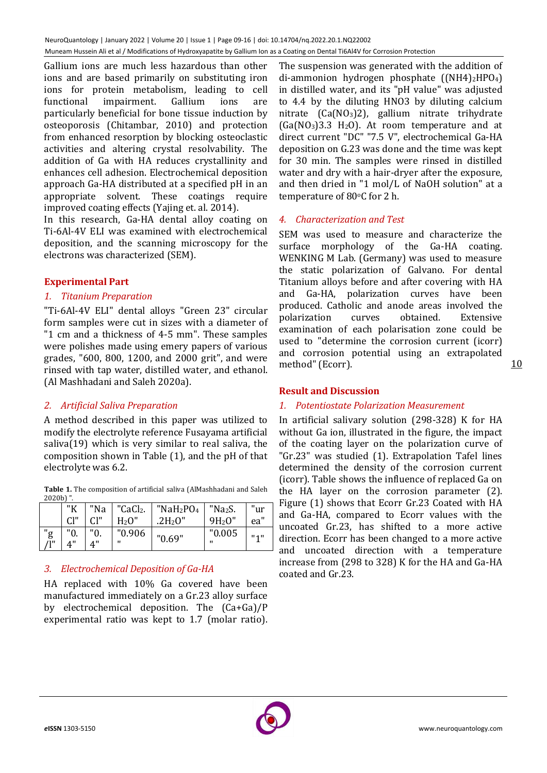Gallium ions are much less hazardous than other ions and are based primarily on substituting iron ions for protein metabolism, leading to cell functional impairment. Gallium ions are particularly beneficial for bone tissue induction by osteoporosis (Chitambar, 2010) and protection from enhanced resorption by blocking osteoclastic activities and altering crystal resolvability. The addition of Ga with HA reduces crystallinity and enhances cell adhesion. Electrochemical deposition approach Ga-HA distributed at a specified pH in an appropriate solvent. These coatings require improved coating effects (Yajing et. al. 2014).

In this research, Ga-HA dental alloy coating on Ti-6Al-4V ELI was examined with electrochemical deposition, and the scanning microscopy for the electrons was characterized (SEM).

## **Experimental Part**

## *1. Titanium Preparation*

"Ti-6Al-4V ELI" dental alloys "Green 23" circular form samples were cut in sizes with a diameter of "1 cm and a thickness of 4-5 mm". These samples were polishes made using emery papers of various grades, "600, 800, 1200, and 2000 grit", and were rinsed with tap water, distilled water, and ethanol. (Al Mashhadani and Saleh 2020a).

## *2. Artificial Saliva Preparation*

A method described in this paper was utilized to modify the electrolyte reference Fusayama artificial saliva(19) which is very similar to real saliva, the composition shown in Table (1), and the pH of that electrolyte was 6.2.

| 2020DI         |                   |            |                      |                      |                     |           |  |
|----------------|-------------------|------------|----------------------|----------------------|---------------------|-----------|--|
|                | $II$ <sub>I</sub> | "Na        | "CaCl <sub>2</sub> . | " $NaH2PO4$          | "Na <sub>2</sub> S. | "ur       |  |
|                | Cl <sub>1</sub>   | ייר        | $H_2O''$             | .2H <sub>2</sub> O'' | 9H <sub>2</sub> 0"  | ea"       |  |
| "g<br>$\cdots$ | "0.<br>$-$        | "0.<br>$-$ | "0.906<br>$-1$       | 0.69"                | "0.005<br>$-1$      | $II - 1I$ |  |

"

**Table 1.** The composition of artificial saliva (AlMashhadani and Saleh 2020b) ".

# *3. Electrochemical Deposition of Ga-HA*

 $^{\prime}$ 

HA replaced with 10% Ga covered have been manufactured immediately on a Gr.23 alloy surface by electrochemical deposition. The (Ca+Ga)/P experimental ratio was kept to 1.7 (molar ratio). The suspension was generated with the addition of di-ammonion hydrogen phosphate  $((NH4)_2HPO_4)$ in distilled water, and its "pH value" was adjusted to 4.4 by the diluting HNO3 by diluting calcium nitrate (Ca(NO3)2), gallium nitrate trihydrate  $(Ga(NO<sub>3</sub>)3.3 H<sub>2</sub>O)$ . At room temperature and at direct current "DC" "7.5 V", electrochemical Ga-HA deposition on G.23 was done and the time was kept for 30 min. The samples were rinsed in distilled water and dry with a hair-dryer after the exposure, and then dried in "1 mol/L of NaOH solution" at a temperature of 80oC for 2 h.

## *4. Characterization and Test*

SEM was used to measure and characterize the surface morphology of the Ga-HA coating. WENKING M Lab. (Germany) was used to measure the static polarization of Galvano. For dental Titanium alloys before and after covering with HA and Ga-HA, polarization curves have been produced. Catholic and anode areas involved the polarization curves obtained. Extensive examination of each polarisation zone could be used to "determine the corrosion current (icorr) and corrosion potential using an extrapolated method" (Ecorr).

## **Result and Discussion**

## *1. Potentiostate Polarization Measurement*

In artificial salivary solution (298-328) K for HA without Ga ion, illustrated in the figure, the impact of the coating layer on the polarization curve of "Gr.23" was studied (1). Extrapolation Tafel lines determined the density of the corrosion current (icorr). Table shows the influence of replaced Ga on the HA layer on the corrosion parameter (2). Figure (1) shows that Ecorr Gr.23 Coated with HA and Ga-HA, compared to Ecorr values with the uncoated Gr.23, has shifted to a more active direction. Ecorr has been changed to a more active and uncoated direction with a temperature increase from (298 to 328) K for the HA and Ga-HA coated and Gr.23.



10

/l"

4"

4"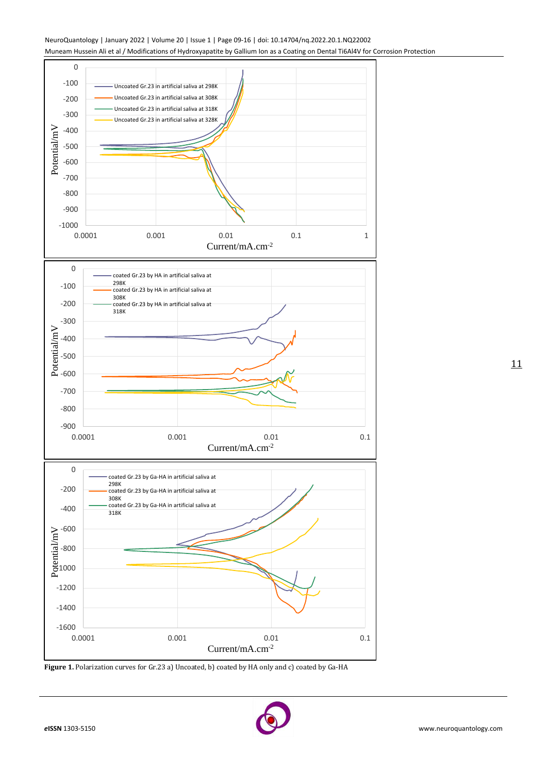

**Figure 1.** Polarization curves for Gr.23 a) Uncoated, b) coated by HA only and c) coated by Ga-HA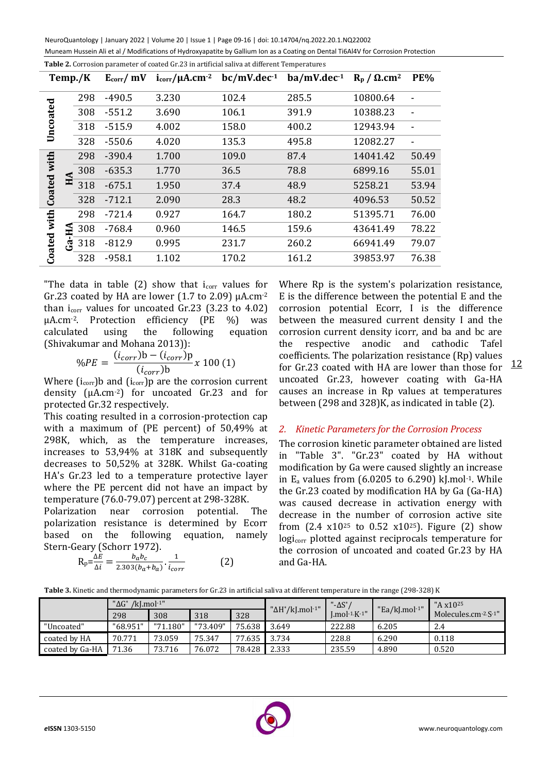NeuroQuantology | January 2022 | Volume 20 | Issue 1 | Page 09-16 | doi: 10.14704/nq.2022.20.1.NQ22002 Muneam Hussein Ali et al / Modifications of Hydroxyapatite by Gallium Ion as a Coating on Dental Ti6Al4V for Corrosion Protection

| Table 2. Corrosion parameter of coated Gr.23 in artificial saliva at different Temperatures |    |     |                |                          |             |                   |                     |            |
|---------------------------------------------------------------------------------------------|----|-----|----------------|--------------------------|-------------|-------------------|---------------------|------------|
| Temp./K                                                                                     |    |     | $E_{corr}/$ mV | $i_{corr}/\mu A.cm^{-2}$ | bc/mV.dec-1 | $ba/mV.$ dec $-1$ | $R_p / \Omega.cm^2$ | <b>PE%</b> |
| Uncoated                                                                                    |    | 298 | $-490.5$       | 3.230                    | 102.4       | 285.5             | 10800.64            |            |
|                                                                                             |    | 308 | $-551.2$       | 3.690                    | 106.1       | 391.9             | 10388.23            |            |
|                                                                                             |    | 318 | $-515.9$       | 4.002                    | 158.0       | 400.2             | 12943.94            | ۰          |
|                                                                                             |    | 328 | $-550.6$       | 4.020                    | 135.3       | 495.8             | 12082.27            |            |
| Coated with<br>HA                                                                           |    | 298 | $-390.4$       | 1.700                    | 109.0       | 87.4              | 14041.42            | 50.49      |
|                                                                                             |    | 308 | $-635.3$       | 1.770                    | 36.5        | 78.8              | 6899.16             | 55.01      |
|                                                                                             |    | 318 | $-675.1$       | 1.950                    | 37.4        | 48.9              | 5258.21             | 53.94      |
|                                                                                             |    | 328 | $-712.1$       | 2.090                    | 28.3        | 48.2              | 4096.53             | 50.52      |
| with                                                                                        |    | 298 | $-721.4$       | 0.927                    | 164.7       | 180.2             | 51395.71            | 76.00      |
| Coated                                                                                      | ÊН | 308 | $-768.4$       | 0.960                    | 146.5       | 159.6             | 43641.49            | 78.22      |
|                                                                                             | ចំ | 318 | $-812.9$       | 0.995                    | 231.7       | 260.2             | 66941.49            | 79.07      |
|                                                                                             |    | 328 | $-958.1$       | 1.102                    | 170.2       | 161.2             | 39853.97            | 76.38      |

"The data in table  $(2)$  show that  $i_{corr}$  values for Gr.23 coated by HA are lower (1.7 to 2.09)  $\mu$ A.cm<sup>-2</sup> than  $i_{corr}$  values for uncoated Gr.23 (3.23 to 4.02) µA.cm-2. Protection efficiency (PE %) was calculated using the following equation

(Shivakumar and Mohana 2013)):  $\%PE = \frac{(i_{corr})\mathbf{b} - (i_{corr})\mathbf{p}}{(i_{corr})\mathbf{b}}$  $\frac{(i_{corr})b}{(i_{corr})b}$  x 100 (1)

Where  $(i_{corr})$ b and  $(i_{corr})$ p are the corrosion current density (μA.cm-2) for uncoated Gr.23 and for protected Gr.32 respectively.

This coating resulted in a corrosion-protection cap with a maximum of (PE percent) of 50,49% at 298K, which, as the temperature increases, increases to 53,94% at 318K and subsequently decreases to 50,52% at 328K. Whilst Ga-coating HA's Gr.23 led to a temperature protective layer where the PE percent did not have an impact by temperature (76.0-79.07) percent at 298-328K.

Polarization near corrosion potential. The polarization resistance is determined by Ecorr based on the following equation, namely Stern-Geary (Schorr 1972).

$$
R_p = \frac{\Delta E}{\Delta i} = \frac{b_a b_c}{2.303(b_a + b_a)} \cdot \frac{1}{i_{corr}} \tag{2}
$$

Where Rp is the system's polarization resistance, E is the difference between the potential E and the corrosion potential Ecorr, I is the difference between the measured current density I and the corrosion current density icorr, and ba and bc are the respective anodic and cathodic Tafel coefficients. The polarization resistance (Rp) values for Gr.23 coated with HA are lower than those for uncoated Gr.23, however coating with Ga-HA causes an increase in Rp values at temperatures between (298 and 328)K, as indicated in table (2).

## *2. Kinetic Parameters for the Corrosion Process*

The corrosion kinetic parameter obtained are listed in "Table 3". "Gr.23" coated by HA without modification by Ga were caused slightly an increase in  $E_a$  values from (6.0205 to 6.290) kJ.mol<sup>-1</sup>. While the Gr.23 coated by modification HA by Ga (Ga-HA) was caused decrease in activation energy with decrease in the number of corrosion active site from  $(2.4 \text{ x}10^{25} \text{ to } 0.52 \text{ x}10^{25})$ . Figure  $(2)$  show logi<sub>corr</sub> plotted against reciprocals temperature for the corrosion of uncoated and coated Gr.23 by HA and Ga-HA.

**Table 3.** Kinetic and thermodynamic parameters for Gr.23 in artificial saliva at different temperature in the range (298-328) K

|                 | / $k$ I.mol <sup>-1"</sup><br>$" \Delta G^*$ |          |          |                         |                                         | "- $\Delta S^*$   |                     | "A $\times$ 10 <sup>25</sup> |
|-----------------|----------------------------------------------|----------|----------|-------------------------|-----------------------------------------|-------------------|---------------------|------------------------------|
|                 | 298                                          | 308      | 318      | 328                     | $"\Delta H^* / k$ J.mol <sup>-1</sup> " | $Lmol^{-1}K^{-1}$ | $"Ea/kJ$ .mol $-1"$ | Molecules.cm-2.S-1"          |
| "Uncoated"      | "68.951"                                     | "71.180" | "73.409" | 75.638                  | 3.649                                   | 222.88            | 6.205               | 2.4                          |
| coated by HA    | 70.771                                       | 73.059   | 75.347   | $77.635$ $\blacksquare$ | 3.734                                   | 228.8             | 6.290               | 0.118                        |
| coated by Ga-HA | 71.36                                        | 73.716   | 76.072   | 78.428                  | 2.333                                   | 235.59            | 4.890               | 0.520                        |

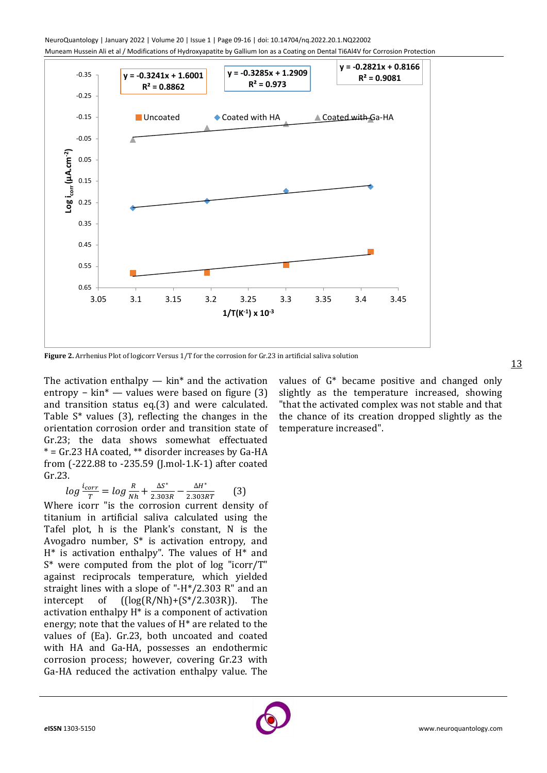NeuroQuantology | January 2022 | Volume 20 | Issue 1 | Page 09-16 | doi: 10.14704/nq.2022.20.1.NQ22002 Muneam Hussein Ali et al / Modifications of Hydroxyapatite by Gallium Ion as a Coating on Dental Ti6Al4V for Corrosion Protection



**Figure 2.** Arrhenius Plot of logicorr Versus 1/T for the corrosion for Gr.23 in artificial saliva solution

The activation enthalpy  $-$  kin\* and the activation entropy − kin\* — values were based on figure (3) and transition status eq.(3) and were calculated. Table  $S^*$  values (3), reflecting the changes in the orientation corrosion order and transition state of Gr.23; the data shows somewhat effectuated \* = Gr.23 HA coated, \*\* disorder increases by Ga-HA from (-222.88 to -235.59 (J.mol-1.K-1) after coated Gr.23.

$$
log\frac{i_{corr}}{T} = log\frac{R}{Nh} + \frac{\Delta S^*}{2.303B} - \frac{\Delta H^*}{2.303BT}
$$
 (3)

Where icorr "is the corrosion current density of titanium in artificial saliva calculated using the Tafel plot, h is the Plank's constant, N is the Avogadro number, S\* is activation entropy, and  $H^*$  is activation enthalpy". The values of  $H^*$  and S\* were computed from the plot of log "icorr/T" against reciprocals temperature, which yielded straight lines with a slope of "-H\*/2.303 R" and an intercept of  $((log(R/Nh)+(S^*/2.303R))$ . The activation enthalpy H\* is a component of activation energy; note that the values of H\* are related to the values of (Ea). Gr.23, both uncoated and coated with HA and Ga-HA, possesses an endothermic corrosion process; however, covering Gr.23 with Ga-HA reduced the activation enthalpy value. The

values of G\* became positive and changed only slightly as the temperature increased, showing "that the activated complex was not stable and that the chance of its creation dropped slightly as the temperature increased".

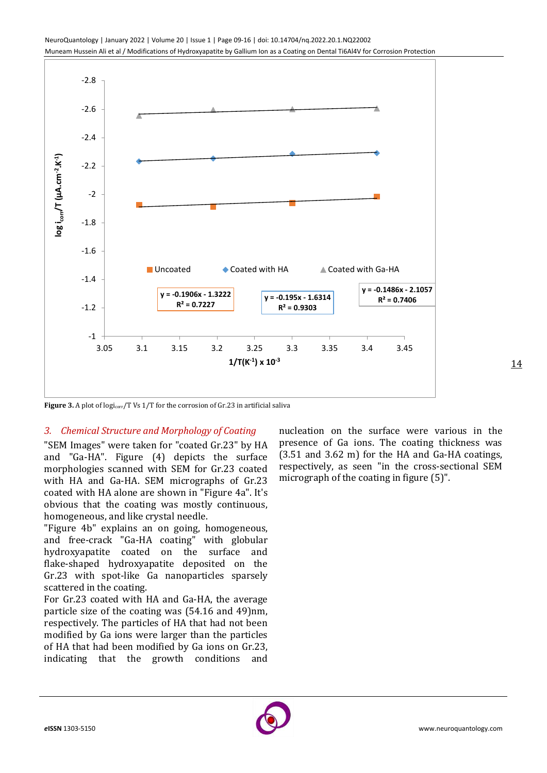

Figure 3. A plot of logicorr/T Vs 1/T for the corrosion of Gr.23 in artificial saliva

## *3. Chemical Structure and Morphology of Coating*

"SEM Images" were taken for "coated Gr.23" by HA and "Ga-HA". Figure (4) depicts the surface morphologies scanned with SEM for Gr.23 coated with HA and Ga-HA. SEM micrographs of Gr.23 coated with HA alone are shown in "Figure 4a". It's obvious that the coating was mostly continuous, homogeneous, and like crystal needle.

"Figure 4b" explains an on going, homogeneous, and free-crack "Ga-HA coating" with globular hydroxyapatite coated on the surface and flake-shaped hydroxyapatite deposited on the Gr.23 with spot-like Ga nanoparticles sparsely scattered in the coating.

For Gr.23 coated with HA and Ga-HA, the average particle size of the coating was (54.16 and 49)nm, respectively. The particles of HA that had not been modified by Ga ions were larger than the particles of HA that had been modified by Ga ions on Gr.23, indicating that the growth conditions and nucleation on the surface were various in the presence of Ga ions. The coating thickness was (3.51 and 3.62 m) for the HA and Ga-HA coatings, respectively, as seen "in the cross-sectional SEM micrograph of the coating in figure (5)".

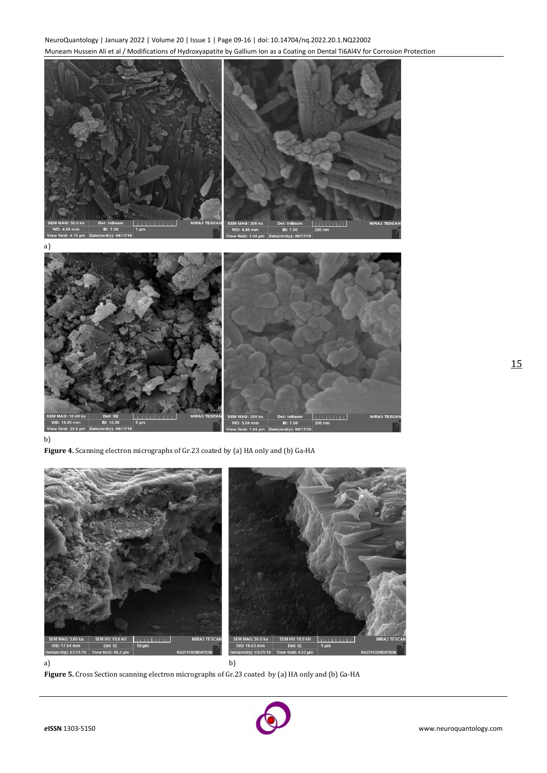

b)

**Figure 4.** Scanning electron micrographs of Gr.23 coated by (a) HA only and (b) Ga-HA



**Figure 5.** Cross Section scanning electron micrographs of Gr.23 coated by (a) HA only and (b) Ga-HA